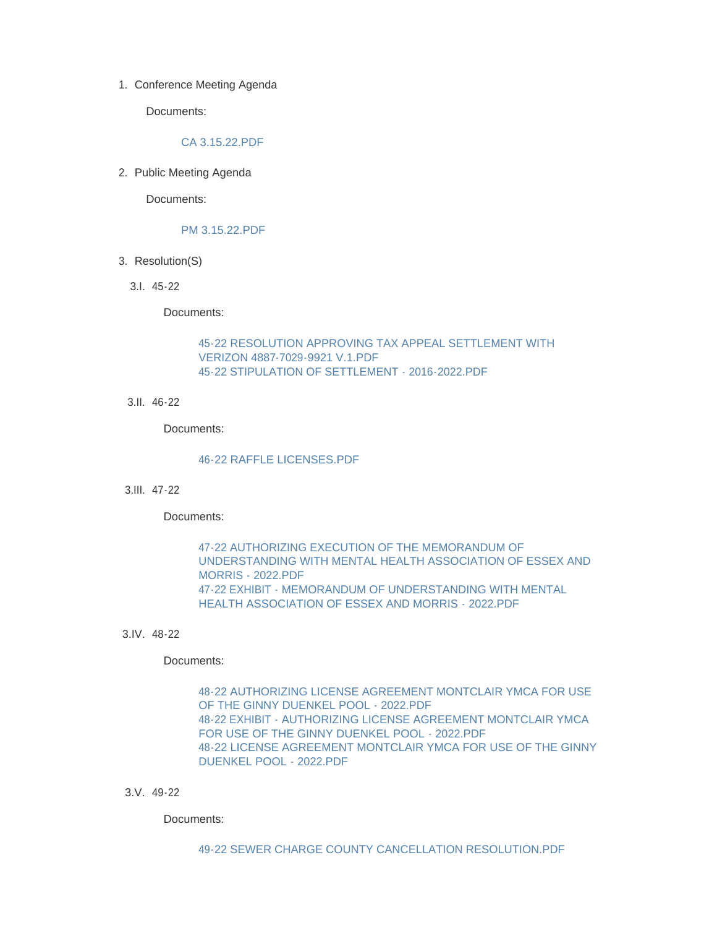1. Conference Meeting Agenda

Documents:

### [CA 3.15.22.PDF](http://www.westorange.org/AgendaCenter/ViewFile/Item/4577?fileID=14414)

2. Public Meeting Agenda

Documents:

#### [PM 3.15.22.PDF](http://www.westorange.org/AgendaCenter/ViewFile/Item/4590?fileID=14417)

- 3. Resolution(S)
	- 45-22 3.I.

Documents:

### [45-22 RESOLUTION APPROVING TAX APPEAL SETTLEMENT WITH](http://www.westorange.org/AgendaCenter/ViewFile/Item/4579?fileID=14379)  VERIZON 4887-7029-9921 V.1.PDF [45-22 STIPULATION OF SETTLEMENT - 2016-2022.PDF](http://www.westorange.org/AgendaCenter/ViewFile/Item/4579?fileID=14416)

46-22 3.II.

Documents:

## [46-22 RAFFLE LICENSES.PDF](http://www.westorange.org/AgendaCenter/ViewFile/Item/4580?fileID=14424)

47-22 3.III.

Documents:

47-22 AUTHORIZING EXECUTION OF THE MEMORANDUM OF [UNDERSTANDING WITH MENTAL HEALTH ASSOCIATION OF ESSEX AND](http://www.westorange.org/AgendaCenter/ViewFile/Item/4581?fileID=14382)  MORRIS - 2022.PDF [47-22 EXHIBIT - MEMORANDUM OF UNDERSTANDING WITH MENTAL](http://www.westorange.org/AgendaCenter/ViewFile/Item/4581?fileID=14381)  HEALTH ASSOCIATION OF ESSEX AND MORRIS - 2022.PDF

48-22 3.IV.

Documents:

[48-22 AUTHORIZING LICENSE AGREEMENT MONTCLAIR YMCA FOR USE](http://www.westorange.org/AgendaCenter/ViewFile/Item/4582?fileID=14385)  OF THE GINNY DUENKEL POOL - 2022.PDF [48-22 EXHIBIT - AUTHORIZING LICENSE AGREEMENT MONTCLAIR YMCA](http://www.westorange.org/AgendaCenter/ViewFile/Item/4582?fileID=14384)  FOR USE OF THE GINNY DUENKEL POOL - 2022.PDF [48-22 LICENSE AGREEMENT MONTCLAIR YMCA FOR USE OF THE GINNY](http://www.westorange.org/AgendaCenter/ViewFile/Item/4582?fileID=14383)  DUENKEL POOL - 2022.PDF

49-22 3.V.

Documents: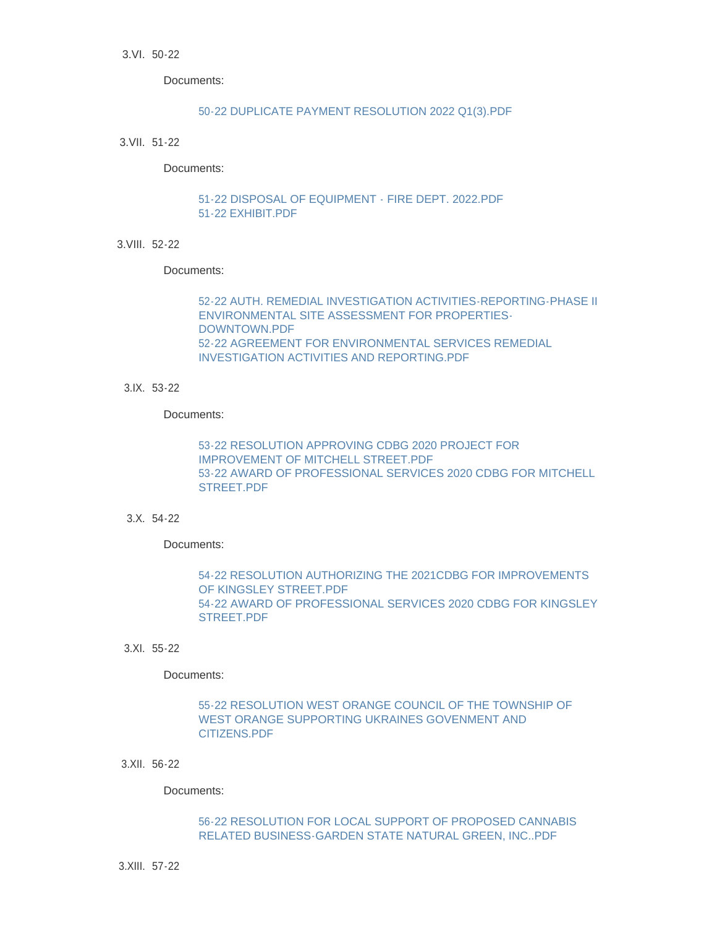Documents:

#### [50-22 DUPLICATE PAYMENT RESOLUTION 2022 Q1\(3\).PDF](http://www.westorange.org/AgendaCenter/ViewFile/Item/4584?fileID=14387)

51-22 3.VII.

Documents:

[51-22 DISPOSAL OF EQUIPMENT - FIRE DEPT. 2022.PDF](http://www.westorange.org/AgendaCenter/ViewFile/Item/4585?fileID=14389) [51-22 EXHIBIT.PDF](http://www.westorange.org/AgendaCenter/ViewFile/Item/4585?fileID=14388)

52-22 3.VIII.

Documents:

[52-22 AUTH. REMEDIAL INVESTIGATION ACTIVITIES-REPORTING-PHASE II](http://www.westorange.org/AgendaCenter/ViewFile/Item/4601?fileID=14422)  ENVIRONMENTAL SITE ASSESSMENT FOR PROPERTIES-DOWNTOWN.PDF [52-22 AGREEMENT FOR ENVIRONMENTAL SERVICES REMEDIAL](http://www.westorange.org/AgendaCenter/ViewFile/Item/4601?fileID=14423)  INVESTIGATION ACTIVITIES AND REPORTING.PDF

53-22 3.IX.

Documents:

[53-22 RESOLUTION APPROVING CDBG 2020 PROJECT FOR](http://www.westorange.org/AgendaCenter/ViewFile/Item/4587?fileID=14393)  IMPROVEMENT OF MITCHELL STREET.PDF [53-22 AWARD OF PROFESSIONAL SERVICES 2020 CDBG FOR MITCHELL](http://www.westorange.org/AgendaCenter/ViewFile/Item/4587?fileID=14392)  STREET.PDF

54-22 3.X.

Documents:

[54-22 RESOLUTION AUTHORIZING THE 2021CDBG FOR IMPROVEMENTS](http://www.westorange.org/AgendaCenter/ViewFile/Item/4588?fileID=14395)  OF KINGSLEY STREET.PDF [54-22 AWARD OF PROFESSIONAL SERVICES 2020 CDBG FOR KINGSLEY](http://www.westorange.org/AgendaCenter/ViewFile/Item/4588?fileID=14394)  STREET.PDF

55-22 3.XI.

Documents:

[55-22 RESOLUTION WEST ORANGE COUNCIL OF THE TOWNSHIP OF](http://www.westorange.org/AgendaCenter/ViewFile/Item/4589?fileID=14396)  WEST ORANGE SUPPORTING UKRAINES GOVENMENT AND CITIZENS.PDF

56-22 3.XII.

Documents:

[56-22 RESOLUTION FOR LOCAL SUPPORT OF PROPOSED CANNABIS](http://www.westorange.org/AgendaCenter/ViewFile/Item/4595?fileID=14405)  RELATED BUSINESS-GARDEN STATE NATURAL GREEN, INC..PDF

57-22 3.XIII.